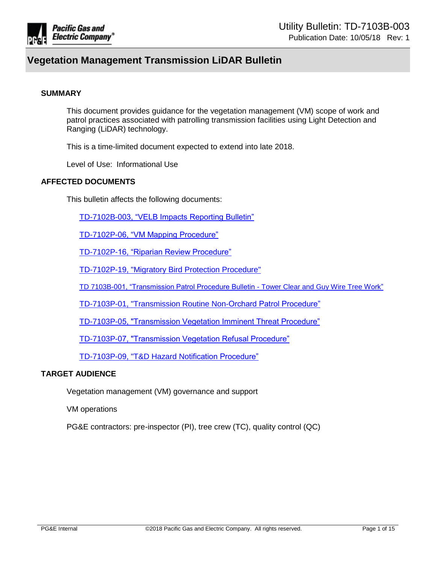

#### **SUMMARY**

This document provides guidance for the vegetation management (VM) scope of work and patrol practices associated with patrolling transmission facilities using Light Detection and Ranging (LiDAR) technology.

This is a time-limited document expected to extend into late 2018.

Level of Use: Informational Use

## **AFFECTED DOCUMENTS**

This bulletin affects the following documents:

[TD-7102B-003, "VELB Impacts Reporting Bulletin"](https://edrm.comp.pge.com/D2/?docbase=pge_ecm&locateId=09131aad81eaa211&version=LIVE&commandEvent=D2_ACTION_CONTENT_VIEW)

[TD-7102P-06, "VM Mapping Procedure"](https://edrm.comp.pge.com/D2/?docbase=pge_ecm&locateId=09131aad81eaa1d9&version=LIVE&commandEvent=D2_ACTION_CONTENT_VIEW)

[TD-7102P-16, "Riparian Review Procedure"](https://edrm.comp.pge.com/D2/?docbase=pge_ecm&locateId=09131aad81eaa1bf&version=LIVE&commandEvent=D2_ACTION_CONTENT_VIEW)

[TD-7102P-19, "Migratory Bird Protection Procedure"](https://edrm.comp.pge.com/D2/?docbase=pge_ecm&locateId=09131aad833e8ff2&version=LIVE&commandEvent=D2_ACTION_CONTENT_VIEW#d2)

[TD 7103B-001, "Transmission Patrol Procedure Bulletin -](https://edrm.comp.pge.com/D2/?docbase=pge_ecm&locateId=09131aad81eaa27d&version=LIVE&commandEvent=D2_ACTION_CONTENT_VIEW) Tower Clear and Guy Wire Tree Work"

[TD-7103P-01, "Transmission Routine Non-Orchard Patrol Procedure"](https://edrm.comp.pge.com/D2/?docbase=pge_ecm&locateId=09131aad81eaa25f&version=LIVE&commandEvent=D2_ACTION_CONTENT_VIEW)

[TD-7103P-05, "Transmission Vegetation Imminent Threat Procedure"](https://edrm.comp.pge.com/D2/?docbase=pge_ecm&locateId=09131aad81eaa1c1&version=LIVE&commandEvent=D2_ACTION_CONTENT_VIEW)

[TD-7103P-07, "Transmission Vegetation Refusal Procedure"](https://edrm.comp.pge.com/D2/?docbase=pge_ecm&locateId=09131aad81eaa237&version=LIVE&commandEvent=D2_ACTION_CONTENT_VIEW)

[TD-7103P-09, "T&D Hazard Notification Procedure"](https://edrm.comp.pge.com/D2/?docbase=pge_ecm&locateId=09131aad81eaa255&version=LIVE&commandEvent=D2_ACTION_CONTENT_VIEW)

#### **TARGET AUDIENCE**

Vegetation management (VM) governance and support

VM operations

PG&E contractors: pre-inspector (PI), tree crew (TC), quality control (QC)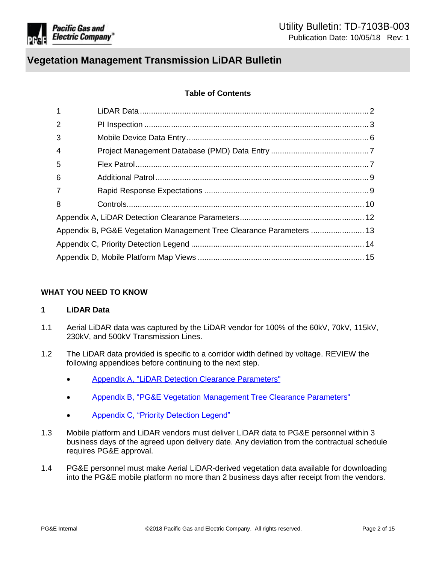

## **Table of Contents**

| $\mathbf{1}$   |  |
|----------------|--|
| $\overline{2}$ |  |
| 3              |  |
| $\overline{4}$ |  |
| 5              |  |
| 6              |  |
| $\overline{7}$ |  |
| 8              |  |
|                |  |
|                |  |
|                |  |
|                |  |

#### **WHAT YOU NEED TO KNOW**

## <span id="page-1-0"></span>**1 LiDAR Data**

- 1.1 Aerial LiDAR data was captured by the LiDAR vendor for 100% of the 60kV, 70kV, 115kV, 230kV, and 500kV Transmission Lines.
- 1.2 The LiDAR data provided is specific to a corridor width defined by voltage. REVIEW the following appendices before continuing to the next step.
	- [Appendix A, "LiDAR Detection Clearance Parameters"](#page-11-0)
	- [Appendix B, "PG&E Vegetation Management Tree Clearance Parameters"](#page-12-0)
	- [Appendix C, "Priority Detection Legend"](#page-13-0)
- 1.3 Mobile platform and LiDAR vendors must deliver LiDAR data to PG&E personnel within 3 business days of the agreed upon delivery date. Any deviation from the contractual schedule requires PG&E approval.
- 1.4 PG&E personnel must make Aerial LiDAR-derived vegetation data available for downloading into the PG&E mobile platform no more than 2 business days after receipt from the vendors.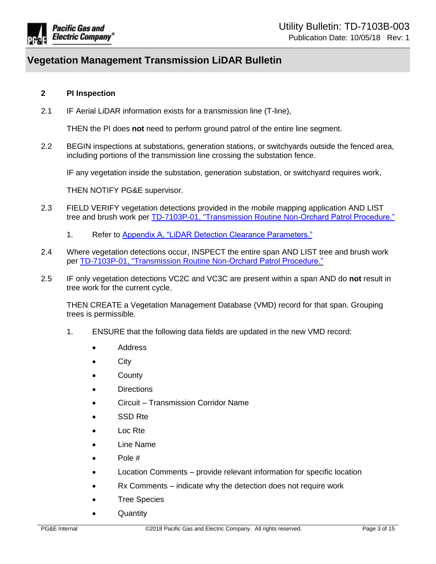

## <span id="page-2-0"></span>**2 PI Inspection**

2.1 IF Aerial LiDAR information exists for a transmission line (T-line),

THEN the PI does **not** need to perform ground patrol of the entire line segment.

2.2 BEGIN inspections at substations, generation stations, or switchyards outside the fenced area, including portions of the transmission line crossing the substation fence.

IF any vegetation inside the substation, generation substation, or switchyard requires work,

THEN NOTIFY PG&E supervisor.

- 2.3 FIELD VERIFY vegetation detections provided in the mobile mapping application AND LIST tree and brush work per [TD-7103P-01, "Transmission Routine Non-Orchard Patrol Procedure."](https://edrm.comp.pge.com/D2/?docbase=pge_ecm&locateId=09131aad81eaa25f&version=LIVE&commandEvent=D2_ACTION_CONTENT_VIEW)
	- 1. Refer to [Appendix A, "LiDAR Detection Clearance Parameters."](#page-11-0)
- 2.4 Where vegetation detections occur, INSPECT the entire span AND LIST tree and brush work per [TD-7103P-01, "Transmission Routine Non-Orchard Patrol Procedure."](https://edrm.comp.pge.com/D2/?docbase=pge_ecm&locateId=09131aad81eaa25f&version=LIVE&commandEvent=D2_ACTION_CONTENT_VIEW)
- 2.5 IF only vegetation detections VC2C and VC3C are present within a span AND do **not** result in tree work for the current cycle,

THEN CREATE a Vegetation Management Database (VMD) record for that span. Grouping trees is permissible.

- 1. ENSURE that the following data fields are updated in the new VMD record:
	- Address
	- City
	- County
	- **Directions**
	- Circuit Transmission Corridor Name
	- SSD Rte
	- Loc Rte
	- Line Name
	- Pole #
	- Location Comments provide relevant information for specific location
	- Rx Comments indicate why the detection does not require work
	- Tree Species
	- **Quantity**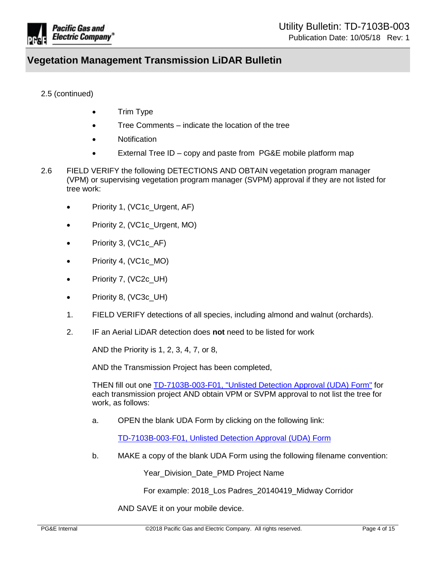

## 2.5 (continued)

- Trim Type
- Tree Comments indicate the location of the tree
- Notification
- External Tree ID copy and paste from PG&E mobile platform map
- 2.6 FIELD VERIFY the following DETECTIONS AND OBTAIN vegetation program manager (VPM) or supervising vegetation program manager (SVPM) approval if they are not listed for tree work:
	- Priority 1, (VC1c\_Urgent, AF)
	- Priority 2, (VC1c Urgent, MO)
	- Priority 3, (VC1c\_AF)
	- Priority 4, (VC1c\_MO)
	- Priority 7, (VC2c\_UH)
	- Priority 8, (VC3c\_UH)
	- 1. FIELD VERIFY detections of all species, including almond and walnut (orchards).
	- 2. IF an Aerial LiDAR detection does **not** need to be listed for work

AND the Priority is 1, 2, 3, 4, 7, or 8,

AND the Transmission Project has been completed,

THEN fill out one [TD-7103B-003-F01, "Unlisted Detection Approval \(UDA\) Form"](https://edrm.comp.pge.com/D2/?docbase=pge_ecm&commandEvent=D2_ACTION_CONTENT_VIEW&locateDql=pge_document(all)%20where%20i_chronicle_id%20=) for each transmission project AND obtain VPM or SVPM approval to not list the tree for work, as follows:

a. OPEN the blank UDA Form by clicking on the following link:

[TD-7103B-003-F01, Unlisted Detection Approval \(UDA\) Form](https://edrm.comp.pge.com/D2/?docbase=pge_ecm&commandEvent=D2_ACTION_CONTENT_VIEW&locateDql=pge_document(all)%20where%20i_chronicle_id%20=)

b. MAKE a copy of the blank UDA Form using the following filename convention:

Year Division Date PMD Project Name

For example: 2018\_Los Padres\_20140419\_Midway Corridor

AND SAVE it on your mobile device.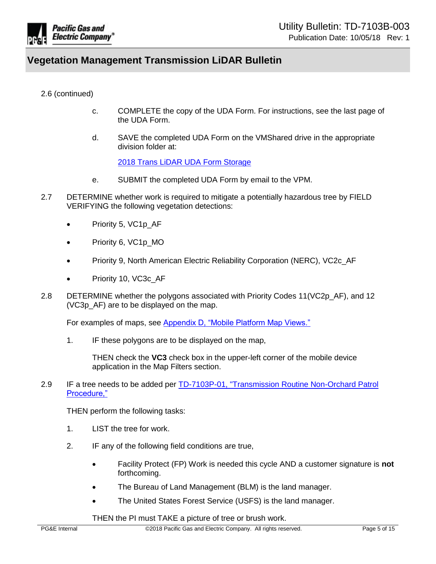

2.6 (continued)

- c. COMPLETE the copy of the UDA Form. For instructions, see the last page of the UDA Form.
- d. SAVE the completed UDA Form on the VMShared drive in the appropriate division folder at:

2018 [Trans LiDAR UDA Form Storage](file://RcShare-NAS05/VM/VMShared/LiDAR/2018%20Transmission/Unlisted%20Detection%20Forms)

- e. SUBMIT the completed UDA Form by email to the VPM.
- 2.7 DETERMINE whether work is required to mitigate a potentially hazardous tree by FIELD VERIFYING the following vegetation detections:
	- Priority 5, VC1p AF
	- Priority 6, VC1p\_MO
	- Priority 9, North American Electric Reliability Corporation (NERC), VC2c AF
	- Priority 10, VC3c\_AF
- 2.8 DETERMINE whether the polygons associated with Priority Codes 11(VC2p\_AF), and 12 (VC3p\_AF) are to be displayed on the map.

For examples of maps, see [Appendix D, "Mobile Platform Map Views."](#page-14-0)

1. IF these polygons are to be displayed on the map,

THEN check the **VC3** check box in the upper-left corner of the mobile device application in the Map Filters section.

2.9 IF a tree needs to be added per [TD-7103P-01, "Transmission Routine Non-Orchard Patrol](https://edrm.comp.pge.com/D2/?docbase=pge_ecm&locateId=09131aad81eaa25f&version=LIVE&commandEvent=D2_ACTION_CONTENT_VIEW)  [Procedure,"](https://edrm.comp.pge.com/D2/?docbase=pge_ecm&locateId=09131aad81eaa25f&version=LIVE&commandEvent=D2_ACTION_CONTENT_VIEW)

THEN perform the following tasks:

- 1. LIST the tree for work.
- 2. IF any of the following field conditions are true,
	- Facility Protect (FP) Work is needed this cycle AND a customer signature is **not** forthcoming.
	- The Bureau of Land Management (BLM) is the land manager.
	- The United States Forest Service (USFS) is the land manager.

THEN the PI must TAKE a picture of tree or brush work.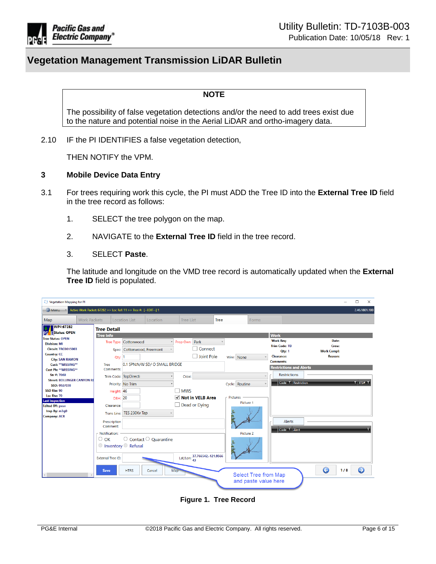

#### **NOTE**

The possibility of false vegetation detections and/or the need to add trees exist due to the nature and potential noise in the Aerial LiDAR and ortho-imagery data.

2.10 IF the PI IDENTIFIES a false vegetation detection,

THEN NOTIFY the VPM.

#### <span id="page-5-0"></span>**3 Mobile Device Data Entry**

- 3.1 For trees requiring work this cycle, the PI must ADD the Tree ID into the **External Tree ID** field in the tree record as follows:
	- 1. SELECT the tree polygon on the map.
	- 2. NAVIGATE to the **External Tree ID** field in the tree record.
	- 3. SELECT **Paste**.

The latitude and longitude on the VMD tree record is automatically updated when the **External Tree ID** field is populated.

| Vegetation Mapping for PI                                            |                                                                      |                                            |                                    |                  |                              |              |                                                     |                      |                                                         |                                           |            |                                      |     | □<br>$\times$                                                   |
|----------------------------------------------------------------------|----------------------------------------------------------------------|--------------------------------------------|------------------------------------|------------------|------------------------------|--------------|-----------------------------------------------------|----------------------|---------------------------------------------------------|-------------------------------------------|------------|--------------------------------------|-----|-----------------------------------------------------------------|
| Menu                                                                 | Active Work Packet: 67282 >> Loc Ref: 11 >> Tree #: [ -- EDIT -- ] 1 |                                            |                                    |                  |                              |              |                                                     |                      |                                                         |                                           |            |                                      |     | 2.46.1801.100                                                   |
| <b>Work Packets</b><br>Map                                           |                                                                      | <b>Location List</b>                       | Location                           | <b>Tree List</b> |                              | <b>Tree</b>  |                                                     | Forms                |                                                         |                                           |            |                                      |     |                                                                 |
| WP#:67282<br><b>PGC EStatus: OPEN</b>                                | <b>Tree Detail</b>                                                   |                                            |                                    |                  |                              |              |                                                     |                      |                                                         |                                           |            |                                      |     |                                                                 |
| <b>Tree Status: OPEN</b><br><b>Division: MI</b>                      | <b>Tree Info</b>                                                     | Tree Type: Cottonwood                      |                                    | Prop Own: Park   |                              | $\checkmark$ |                                                     |                      | <b>Work</b><br><b>Work Reg:</b><br><b>Trim Code: TD</b> |                                           |            | Date:<br>Crew:                       |     |                                                                 |
| <b>Circuit: TRC0015003</b><br><b>Country: CC</b>                     | Qty: 1                                                               | Spec: Cottonwood, Freemont                 |                                    |                  | Connect<br><b>Joint Pole</b> |              | Wire: None                                          |                      | Qty: 1<br><b>Clearance:</b>                             |                                           |            | <b>Work Compl:</b><br><b>Reason:</b> |     |                                                                 |
| <b>City: SAN RAMON</b><br>Cust: ** MISSING**<br>Cust Ph: **MISSING** | Tree<br>Comments:                                                    |                                            | 0.1 SPN:N/W SD/ O SMALL BRIDGE     |                  |                              |              |                                                     |                      | <b>Comments:</b>                                        | <b>Restrictions and Alerts</b>            |            |                                      |     |                                                                 |
| Str #: 7060<br><b>Street: BOLLINGER CANYON RD</b><br>SSD: 002/038    |                                                                      | Trim Code: TopDirecti<br>Priority: No Trim |                                    | Crew:            |                              |              | Cycle: Routine                                      | $\ddot{ }$<br>$\vee$ |                                                         | <b>Restrictions</b><br>Code T Restriction |            |                                      |     | $T$ $\overline{1}$ $\overline{1}$ $\overline{1}$ $\overline{1}$ |
| SSD Rte: 90<br>Loc Rte: 70<br><b>Last Inspection</b>                 | Height: 46<br><b>DBH: 20</b>                                         |                                            |                                    | $\Box$ MWS       | √ Not in VELB Area           |              | <b>Pictures</b>                                     |                      |                                                         |                                           |            |                                      |     |                                                                 |
| <b>Edited BY: pxvv</b><br>Insp By: m3g0                              | Clearance:<br>Trans Line:                                            | TES 230Kv Tap                              |                                    |                  | $\Box$ Dead or Dying         |              | Picture 1                                           |                      |                                                         |                                           |            |                                      |     |                                                                 |
| <b>Company: ACR</b>                                                  | Prescription<br>Comment:                                             |                                            |                                    |                  |                              |              |                                                     |                      |                                                         | Alerts<br>Code T Alert                    |            |                                      |     |                                                                 |
|                                                                      | - Notification:<br>$\circ$ ok<br>$\circ$ Inventory $\circ$ Refusal   |                                            | $\circ$ Contact $\circ$ Quarantine |                  |                              |              | Picture 2                                           |                      |                                                         |                                           |            |                                      |     |                                                                 |
|                                                                      | <b>External Tree ID:</b>                                             |                                            |                                    |                  | Lat/Lon: 37.766542,-121.9566 |              |                                                     |                      |                                                         |                                           |            |                                      |     |                                                                 |
|                                                                      | Save                                                                 | <b>HTRS</b>                                | Cancel                             | Map              |                              |              | <b>Select Tree from Map</b><br>and paste value here |                      |                                                         |                                           | $\bigodot$ |                                      | 1/8 | $\bullet$                                                       |
|                                                                      |                                                                      |                                            |                                    |                  |                              |              |                                                     |                      |                                                         |                                           |            |                                      |     |                                                                 |

**Figure 1. Tree Record**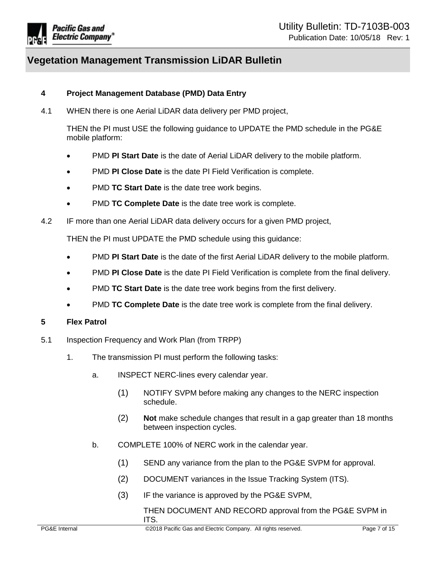

## <span id="page-6-0"></span>**4 Project Management Database (PMD) Data Entry**

4.1 WHEN there is one Aerial LiDAR data delivery per PMD project,

THEN the PI must USE the following guidance to UPDATE the PMD schedule in the PG&E mobile platform:

- PMD **PI Start Date** is the date of Aerial LiDAR delivery to the mobile platform.
- PMD **PI Close Date** is the date PI Field Verification is complete.
- PMD **TC Start Date** is the date tree work begins.
- PMD **TC Complete Date** is the date tree work is complete.
- 4.2 IF more than one Aerial LiDAR data delivery occurs for a given PMD project,

THEN the PI must UPDATE the PMD schedule using this guidance:

- PMD **PI Start Date** is the date of the first Aerial LiDAR delivery to the mobile platform.
- PMD **PI Close Date** is the date PI Field Verification is complete from the final delivery.
- PMD **TC Start Date** is the date tree work begins from the first delivery.
- PMD **TC Complete Date** is the date tree work is complete from the final delivery.

## <span id="page-6-1"></span>**5 Flex Patrol**

- 5.1 Inspection Frequency and Work Plan (from TRPP)
	- 1. The transmission PI must perform the following tasks:
		- a. INSPECT NERC-lines every calendar year.
			- (1) NOTIFY SVPM before making any changes to the NERC inspection schedule.
			- (2) **Not** make schedule changes that result in a gap greater than 18 months between inspection cycles.
		- b. COMPLETE 100% of NERC work in the calendar year.
			- (1) SEND any variance from the plan to the PG&E SVPM for approval.
			- (2) DOCUMENT variances in the Issue Tracking System (ITS).
			- (3) IF the variance is approved by the PG&E SVPM,

THEN DOCUMENT AND RECORD approval from the PG&E SVPM in ITS.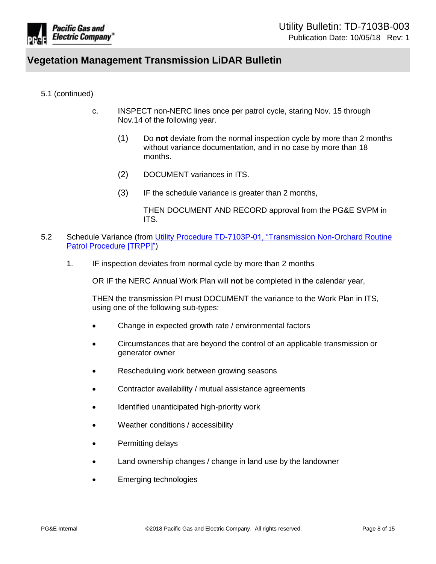

## 5.1 (continued)

- c. INSPECT non-NERC lines once per patrol cycle, staring Nov. 15 through Nov.14 of the following year.
	- (1) Do **not** deviate from the normal inspection cycle by more than 2 months without variance documentation, and in no case by more than 18 months.
	- (2) DOCUMENT variances in ITS.
	- (3) IF the schedule variance is greater than 2 months,

THEN DOCUMENT AND RECORD approval from the PG&E SVPM in ITS.

- 5.2 Schedule Variance (from [Utility Procedure TD-7103P-01, "Transmission Non-Orchard Routine](https://edrm.comp.pge.com/D2/?docbase=pge_ecm&locateId=09131aad81eaa25f&version=LIVE&commandEvent=D2_ACTION_CONTENT_VIEW)  [Patrol Procedure](https://edrm.comp.pge.com/D2/?docbase=pge_ecm&locateId=09131aad81eaa25f&version=LIVE&commandEvent=D2_ACTION_CONTENT_VIEW) [TRPP]")
	- 1. IF inspection deviates from normal cycle by more than 2 months

OR IF the NERC Annual Work Plan will **not** be completed in the calendar year,

THEN the transmission PI must DOCUMENT the variance to the Work Plan in ITS, using one of the following sub-types:

- Change in expected growth rate / environmental factors
- Circumstances that are beyond the control of an applicable transmission or generator owner
- Rescheduling work between growing seasons
- Contractor availability / mutual assistance agreements
- Identified unanticipated high-priority work
- Weather conditions / accessibility
- Permitting delays
- Land ownership changes / change in land use by the landowner
- Emerging technologies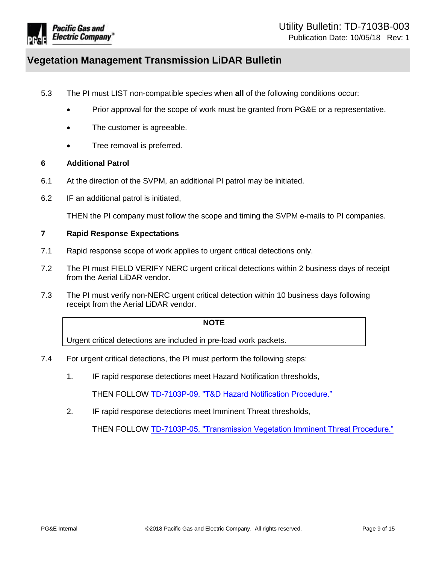

- 5.3 The PI must LIST non-compatible species when **all** of the following conditions occur:
	- Prior approval for the scope of work must be granted from PG&E or a representative.
	- The customer is agreeable.
	- Tree removal is preferred.

#### <span id="page-8-0"></span>**6 Additional Patrol**

- 6.1 At the direction of the SVPM, an additional PI patrol may be initiated.
- 6.2 IF an additional patrol is initiated,

THEN the PI company must follow the scope and timing the SVPM e-mails to PI companies.

## <span id="page-8-1"></span>**7 Rapid Response Expectations**

- 7.1 Rapid response scope of work applies to urgent critical detections only.
- 7.2 The PI must FIELD VERIFY NERC urgent critical detections within 2 business days of receipt from the Aerial LiDAR vendor.
- 7.3 The PI must verify non-NERC urgent critical detection within 10 business days following receipt from the Aerial LiDAR vendor.

#### **NOTE**

Urgent critical detections are included in pre-load work packets.

- 7.4 For urgent critical detections, the PI must perform the following steps:
	- 1. IF rapid response detections meet Hazard Notification thresholds,

THEN FOLLOW [TD-7103P-09, "T&D Hazard Notification Procedure."](https://edrm.comp.pge.com/D2/?docbase=pge_ecm&locateId=09131aad81eaa255&version=LIVE&commandEvent=D2_ACTION_CONTENT_VIEW)

2. IF rapid response detections meet Imminent Threat thresholds,

THEN FOLLOW [TD-7103P-05, "Transmission Vegetation Imminent Threat Procedure."](https://edrm.comp.pge.com/D2/?docbase=pge_ecm&locateId=09131aad81eaa1c1&version=LIVE&commandEvent=D2_ACTION_CONTENT_VIEW)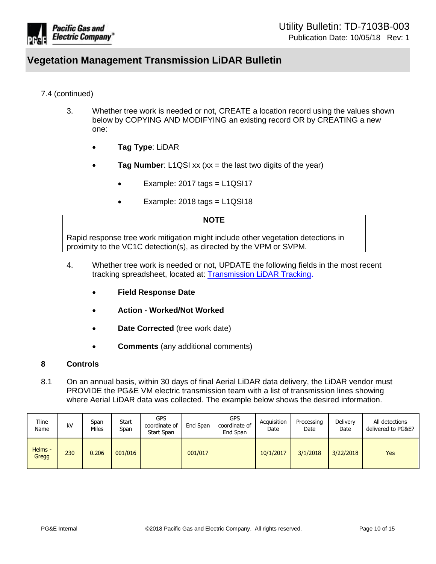

## 7.4 (continued)

- 3. Whether tree work is needed or not, CREATE a location record using the values shown below by COPYING AND MODIFYING an existing record OR by CREATING a new one:
	- **Tag Type**: LiDAR
	- **Tag Number:** L1QSI xx (xx = the last two digits of the year)
		- Example:  $2017$  tags =  $L1QSI17$
		- Example:  $2018$  tags =  $L1QSI18$

#### **NOTE**

Rapid response tree work mitigation might include other vegetation detections in proximity to the VC1C detection(s), as directed by the VPM or SVPM.

- 4. Whether tree work is needed or not, UPDATE the following fields in the most recent tracking spreadsheet, located at: [Transmission LiDAR Tracking.](file://RcShare-NAS05/VM/VMShared/LiDAR/2018%20Transmission/Rapid%20Response%20Tracker)
	- **Field Response Date**
	- **Action - Worked/Not Worked**
	- **Date Corrected** (tree work date)
	- **Comments** (any additional comments)

## <span id="page-9-0"></span>**8 Controls**

8.1 On an annual basis, within 30 days of final Aerial LiDAR data delivery, the LiDAR vendor must PROVIDE the PG&E VM electric transmission team with a list of transmission lines showing where Aerial LiDAR data was collected. The example below shows the desired information.

| Tline<br>Name    | kV  | Span<br>Miles | Start<br>Span | <b>GPS</b><br>coordinate of<br>Start Span | End Span | <b>GPS</b><br>coordinate of<br>End Span | Acauisition<br>Date | Processing<br>Date | Deliverv<br>Date | All detections<br>delivered to PG&E? |
|------------------|-----|---------------|---------------|-------------------------------------------|----------|-----------------------------------------|---------------------|--------------------|------------------|--------------------------------------|
| Helms -<br>Gregg | 230 | 0.206         | 001/016       |                                           | 001/017  |                                         | 10/1/2017           | 3/1/2018           | 3/22/2018        | <b>Yes</b>                           |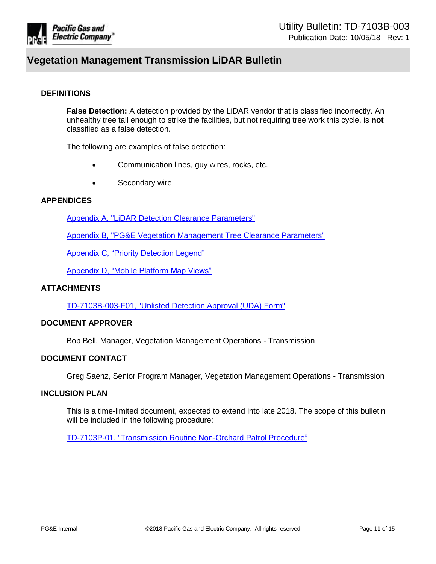

### **DEFINITIONS**

**False Detection:** A detection provided by the LiDAR vendor that is classified incorrectly. An unhealthy tree tall enough to strike the facilities, but not requiring tree work this cycle, is **not** classified as a false detection.

The following are examples of false detection:

- Communication lines, guy wires, rocks, etc.
- Secondary wire

## **APPENDICES**

[Appendix A, "LiDAR Detection Clearance Parameters"](#page-11-0)

[Appendix B, "PG&E Vegetation Management Tree Clearance Parameters"](#page-12-0)

[Appendix C, "Priority Detection Legend"](#page-13-0)

[Appendix D, "Mobile Platform Map Views"](#page-14-0)

#### **ATTACHMENTS**

[TD-7103B-003-F01, "Unlisted Detection Approval \(UDA\) Form"](https://edrm.comp.pge.com/D2/?docbase=pge_ecm&commandEvent=D2_ACTION_CONTENT_VIEW&locateDql=pge_document(all)%20where%20i_chronicle_id%20=)

#### **DOCUMENT APPROVER**

Bob Bell, Manager, Vegetation Management Operations - Transmission

## **DOCUMENT CONTACT**

Greg Saenz, Senior Program Manager, Vegetation Management Operations - Transmission

#### **INCLUSION PLAN**

This is a time-limited document, expected to extend into late 2018. The scope of this bulletin will be included in the following procedure:

[TD-7103P-01, "Transmission Routine Non-Orchard Patrol Procedure"](https://edrm.comp.pge.com/D2/?docbase=pge_ecm&locateId=09131aad81eaa25f&version=LIVE&commandEvent=D2_ACTION_CONTENT_VIEW)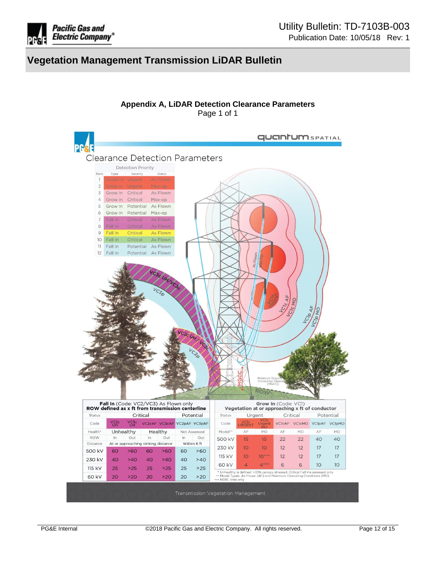

<span id="page-11-0"></span>

**Appendix A, LiDAR Detection Clearance Parameters** Page 1 of 1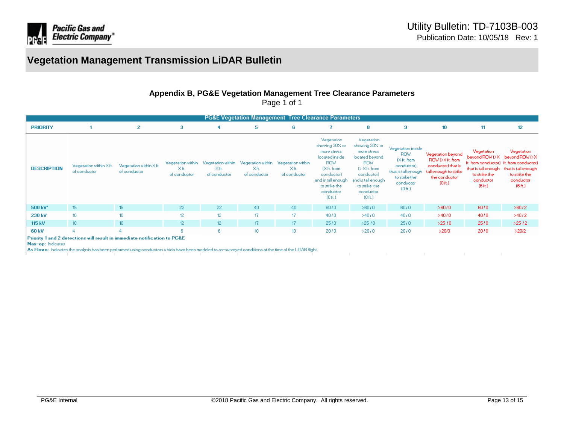

## **Appendix B, PG&E Vegetation Management Tree Clearance Parameters**

Page 1 of 1

| <b>PG&amp;E Vegetation Management Tree Clearance Parameters</b> |                                                                                                                                                           |                                        |                                           |                                           |                                           |                                           |                                                                                                                                                                                   |                                                                                                                                                                                     |                                                                                                                                        |                                                                                                            |                                                  |                                                                                                                                                                         |
|-----------------------------------------------------------------|-----------------------------------------------------------------------------------------------------------------------------------------------------------|----------------------------------------|-------------------------------------------|-------------------------------------------|-------------------------------------------|-------------------------------------------|-----------------------------------------------------------------------------------------------------------------------------------------------------------------------------------|-------------------------------------------------------------------------------------------------------------------------------------------------------------------------------------|----------------------------------------------------------------------------------------------------------------------------------------|------------------------------------------------------------------------------------------------------------|--------------------------------------------------|-------------------------------------------------------------------------------------------------------------------------------------------------------------------------|
| <b>PRIORITY</b>                                                 |                                                                                                                                                           | 2                                      | 3                                         | 4                                         | 5                                         | 6                                         |                                                                                                                                                                                   | 8                                                                                                                                                                                   | 9                                                                                                                                      | 10                                                                                                         | 11.                                              | 12                                                                                                                                                                      |
| <b>DESCRIPTION</b>                                              | Vegetation within Xft.<br>of conductor                                                                                                                    | Vegetation within Xft.<br>of conductor | Vegetation within<br>Xft.<br>of conductor | Vegetation within<br>Xft.<br>of conductor | Vegetation within<br>Xft.<br>of conductor | Vegetation within<br>Xft.<br>of conductor | Vegetation<br>showing 30% or<br>more stress<br>located inside<br><b>ROW</b><br>IXft. from<br>conductor)<br>and is tall enough.<br>to strike the<br>conductor<br>(0 <sub>0</sub> ) | Vegetation<br>showing 30% or<br>more stress<br>located beyond<br><b>ROW</b><br>(> Xft. from<br>conductor)<br>and is tall enough.<br>to strike the<br>conductor<br>(0 <sub>f</sub> ) | Vegetation inside<br><b>ROW</b><br>(Xft. from<br>conductor)<br>that is tall enough.<br>to strike the<br>conductor<br>(0 <sub>0</sub> ) | Vegetation beyond<br>ROWDXft.from<br>conductor) that is<br>tall enough to strike<br>the conductor<br>(0.6) | Vegetation<br>to strike the<br>conductor<br>(6h) | Vegetation<br>beyond ROW (>X beyond ROW (>X<br>ft. from conductor) ft. from conductor)<br>that is tall enough that is tall enough<br>to strike the<br>conductor<br>(6h) |
| 500 kV <sup>-</sup>                                             | 15                                                                                                                                                        | 15                                     | 22                                        | 22                                        | 40                                        | 40                                        | 6070                                                                                                                                                                              | >60/0                                                                                                                                                                               | 6070                                                                                                                                   | >60/0                                                                                                      | 6070                                             | >60/2                                                                                                                                                                   |
| 230 kV                                                          | 10                                                                                                                                                        | 10                                     | 12 <sup>°</sup>                           | 12                                        | 17                                        | 17                                        | 4070                                                                                                                                                                              | >4070                                                                                                                                                                               | 4070                                                                                                                                   | >40/0                                                                                                      | 4070                                             | >40/2                                                                                                                                                                   |
| 115 kV                                                          | 10 <sub>1</sub>                                                                                                                                           | 10 <sub>1</sub>                        | 12 <sup>2</sup>                           | 12                                        | 17 <sub>1</sub>                           | 17 <sub>1</sub>                           | 25/0                                                                                                                                                                              | >25/0                                                                                                                                                                               | 25/0                                                                                                                                   | >25/0                                                                                                      | 2570                                             | >25/2                                                                                                                                                                   |
| 60 kV                                                           | $\Gamma$ . The contract $\Gamma$ is the contract of the contract of the contract of the contract of $\Gamma$ $\Gamma$ $\Gamma$ $\Gamma$ $\Gamma$ $\Gamma$ |                                        | 6.                                        | 6.                                        | 10                                        | 10                                        | 2070                                                                                                                                                                              | >20/0                                                                                                                                                                               | 2070                                                                                                                                   | >20/0                                                                                                      | 2070                                             | >20/2                                                                                                                                                                   |

<span id="page-12-0"></span>Priority 1 and 2 detections will result in immediate notification to PG&E

Max-op: Indicates

As Flown: Indicates the analysis has been performed using conductors which have been modeled to as-surveyed conditions at the time of the LiDAR flight.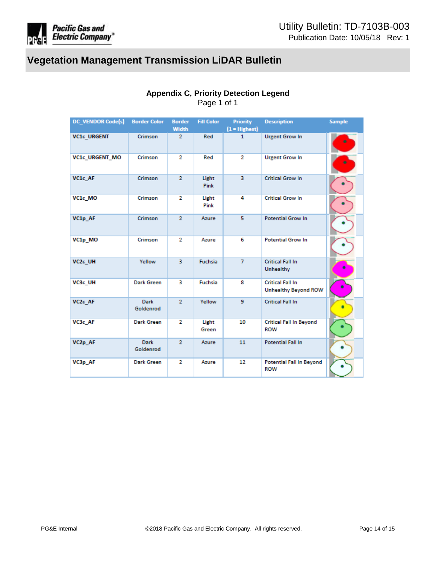

# **Appendix C, Priority Detection Legend**

Page 1 of 1

<span id="page-13-0"></span>

| <b>DC_VENDOR Code(s)</b> | <b>Border Color</b>      | <b>Border</b><br><b>Width</b> | <b>Fill Color</b> | <b>Priority</b><br>$(1 = H{\text{lightest}})$ | <b>Description</b>                                     | <b>Sample</b> |
|--------------------------|--------------------------|-------------------------------|-------------------|-----------------------------------------------|--------------------------------------------------------|---------------|
| VC1c_URGENT              | Crimson                  | $\overline{2}$                | Red               | 1                                             | <b>Urgent Grow In</b>                                  |               |
| VC1c_URGENT_MO           | Crimson                  | $\overline{2}$                | Red               | $\overline{2}$                                | <b>Urgent Grow In</b>                                  |               |
| VC1c AF                  | Crimson                  | $\overline{2}$                | Light<br>Pink     | 3                                             | <b>Critical Grow In</b>                                |               |
| VC1c_MO                  | Crimson                  | 2                             | Light<br>Pink     | 4                                             | <b>Critical Grow In</b>                                |               |
| VC1p AF                  | Crimson                  | $\overline{2}$                | Azure             | 5                                             | <b>Potential Grow In</b>                               |               |
| VC1p MO                  | Crimson                  | 2                             | Azure             | 6                                             | <b>Potential Grow In</b>                               |               |
| VC <sub>2c</sub> UH      | Yellow                   | 3.                            | <b>Fuchsia</b>    | $\overline{7}$                                | <b>Critical Fall In</b><br><b>Unhealthy</b>            | ۰             |
| VC3c UH                  | <b>Dark Green</b>        | з                             | <b>Fuchsia</b>    | 8                                             | <b>Critical Fall In</b><br><b>Unhealthy Beyond ROW</b> | ۰             |
| VC <sub>2c</sub> AF      | Dark<br>Goldenrod        | $\overline{2}$                | Yellow            | 9                                             | <b>Critical Fall In</b>                                | ۰             |
| VC3c AF                  | <b>Dark Green</b>        | $\overline{2}$                | Light<br>Green    | 10                                            | <b>Critical Fall In Beyond</b><br><b>ROW</b>           |               |
| VC2p AF                  | <b>Dark</b><br>Goldenrod | $\overline{2}$                | Azure             | 11                                            | <b>Potential Fall In</b>                               |               |
| VC3p AF                  | <b>Dark Green</b>        | $\overline{2}$                | Azure             | 12                                            | <b>Potential Fall In Beyond</b><br><b>ROW</b>          |               |